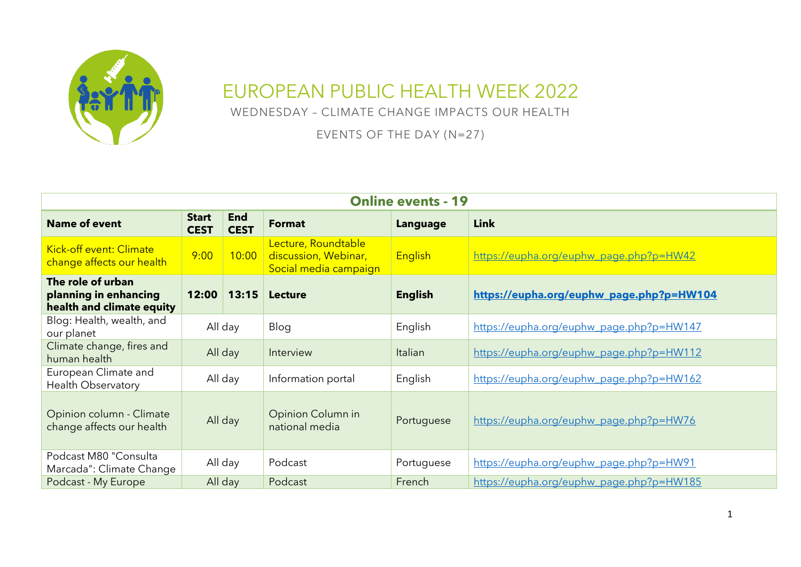

## EUROPEAN PUBLIC HEALTH WEEK 2022

WEDNESDAY – CLIMATE CHANGE IMPACTS OUR HEALTH

EVENTS OF THE DAY (N=27)

| <b>Online events - 19</b>                                               |                             |                           |                                                                      |                |                                          |  |  |
|-------------------------------------------------------------------------|-----------------------------|---------------------------|----------------------------------------------------------------------|----------------|------------------------------------------|--|--|
| <b>Name of event</b>                                                    | <b>Start</b><br><b>CEST</b> | <b>End</b><br><b>CEST</b> | <b>Format</b>                                                        | Language       | <b>Link</b>                              |  |  |
| Kick-off event: Climate<br>change affects our health                    | 9:00                        | 10:00                     | Lecture, Roundtable<br>discussion, Webinar,<br>Social media campaign | English        | https://eupha.org/euphw_page.php?p=HW42  |  |  |
| The role of urban<br>planning in enhancing<br>health and climate equity | 12:00                       | 13:15                     | <b>Lecture</b>                                                       | <b>English</b> | https://eupha.org/euphw_page.php?p=HW104 |  |  |
| Blog: Health, wealth, and<br>our planet                                 | All day                     |                           | Blog                                                                 | English        | https://eupha.org/euphw_page.php?p=HW147 |  |  |
| Climate change, fires and<br>human health                               | All day                     |                           | Interview                                                            | Italian        | https://eupha.org/euphw_page.php?p=HW112 |  |  |
| European Climate and<br>Health Observatory                              | All day                     |                           | Information portal                                                   | English        | https://eupha.org/euphw_page.php?p=HW162 |  |  |
| Opinion column - Climate<br>change affects our health                   | All day                     |                           | Opinion Column in<br>national media                                  | Portuguese     | https://eupha.org/euphw_page.php?p=HW76  |  |  |
| Podcast M80 "Consulta<br>Marcada": Climate Change                       |                             | All day                   | Podcast                                                              | Portuguese     | https://eupha.org/euphw_page.php?p=HW91  |  |  |
| Podcast - My Europe                                                     |                             | All day                   | Podcast                                                              | French         | https://eupha.org/euphw_page.php?p=HW185 |  |  |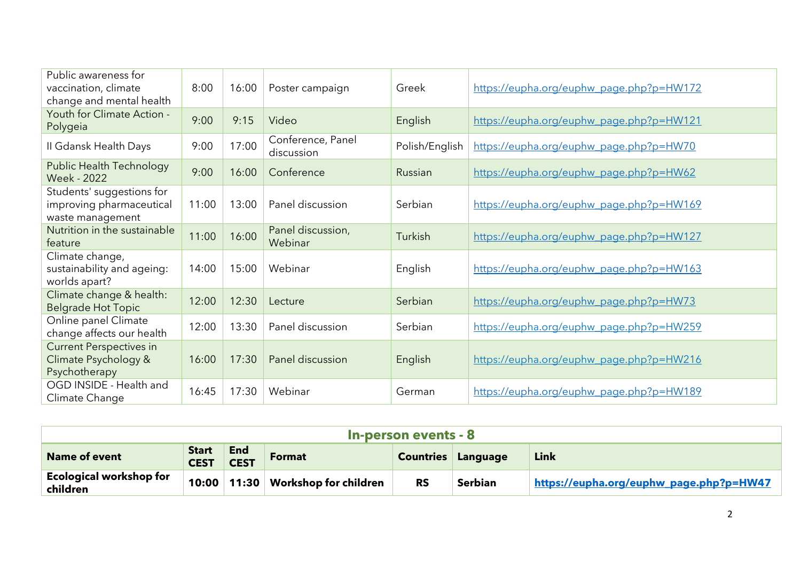| Public awareness for<br>vaccination, climate<br>change and mental health  | 8:00  | 16:00 | Poster campaign                 | Greek          | https://eupha.org/euphw_page.php?p=HW172 |
|---------------------------------------------------------------------------|-------|-------|---------------------------------|----------------|------------------------------------------|
| Youth for Climate Action -<br>Polygeia                                    | 9:00  | 9:15  | Video                           | English        | https://eupha.org/euphw_page.php?p=HW121 |
| II Gdansk Health Days                                                     | 9:00  | 17:00 | Conference, Panel<br>discussion | Polish/English | https://eupha.org/euphw_page.php?p=HW70  |
| <b>Public Health Technology</b><br><b>Week - 2022</b>                     | 9:00  | 16:00 | Conference                      | Russian        | https://eupha.org/euphw_page.php?p=HW62  |
| Students' suggestions for<br>improving pharmaceutical<br>waste management | 11:00 | 13:00 | Panel discussion                | Serbian        | https://eupha.org/euphw_page.php?p=HW169 |
| Nutrition in the sustainable<br>feature                                   | 11:00 | 16:00 | Panel discussion,<br>Webinar    | Turkish        | https://eupha.org/euphw_page.php?p=HW127 |
| Climate change,<br>sustainability and ageing:<br>worlds apart?            | 14:00 | 15:00 | Webinar                         | English        | https://eupha.org/euphw_page.php?p=HW163 |
| Climate change & health:<br><b>Belgrade Hot Topic</b>                     | 12:00 | 12:30 | Lecture                         | Serbian        | https://eupha.org/euphw_page.php?p=HW73  |
| Online panel Climate<br>change affects our health                         | 12:00 | 13:30 | Panel discussion                | Serbian        | https://eupha.org/euphw_page.php?p=HW259 |
| <b>Current Perspectives in</b><br>Climate Psychology &<br>Psychotherapy   | 16:00 | 17:30 | Panel discussion                | English        | https://eupha.org/euphw_page.php?p=HW216 |
| OGD INSIDE - Health and<br>Climate Change                                 | 16:45 | 17:30 | Webinar                         | German         | https://eupha.org/euphw_page.php?p=HW189 |

| In-person events - 8                       |                             |                    |                              |           |                           |                                         |  |
|--------------------------------------------|-----------------------------|--------------------|------------------------------|-----------|---------------------------|-----------------------------------------|--|
| <b>Name of event</b>                       | <b>Start</b><br><b>CEST</b> | End<br><b>CEST</b> | <b>Format</b>                |           | <b>Countries Language</b> | <b>Link</b>                             |  |
| <b>Ecological workshop for</b><br>children | 10:00                       | 11:30              | <b>Workshop for children</b> | <b>RS</b> | <b>Serbian</b>            | https://eupha.org/euphw_page.php?p=HW47 |  |